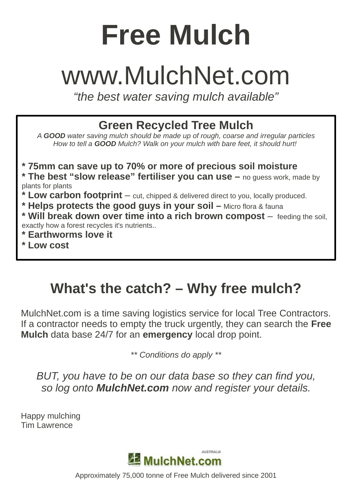# **Free Mulch**

## [www.MulchNet.com](http://www.MulchNet.com/)

*"the best water saving mulch available"*

**Green Recycled Tree Mulch**

*A GOOD water saving mulch should be made up of rough, coarse and irregular particles How to tell a GOOD Mulch? Walk on your mulch with bare feet, it should hurt!* 

**\* 75mm can save up to 70% or more of precious soil moisture \* The best "slow release" fertiliser you can use –** no guess work, made by plants for plants

- **\* Low carbon footprint** cut, chipped & delivered direct to you, locally produced.
- **\* Helps protects the good guys in your soil –** Micro flora & fauna

**\* Will break down over time into a rich brown compost** – feeding the soil, exactly how a forest recycles it's nutrients..

**\* Earthworms love it**

**\* Low cost**

### **What's the catch? – Why free mulch?**

MulchNet.com is a time saving logistics service for local Tree Contractors. If a contractor needs to empty the truck urgently, they can search the **Free Mulch** data base 24/7 for an **emergency** local drop point.

*\*\* Conditions do apply \*\**

*BUT, you have to be on our data base so they can find you, so log onto MulchNet.com now and register your details.*

Happy mulching Tim Lawrence